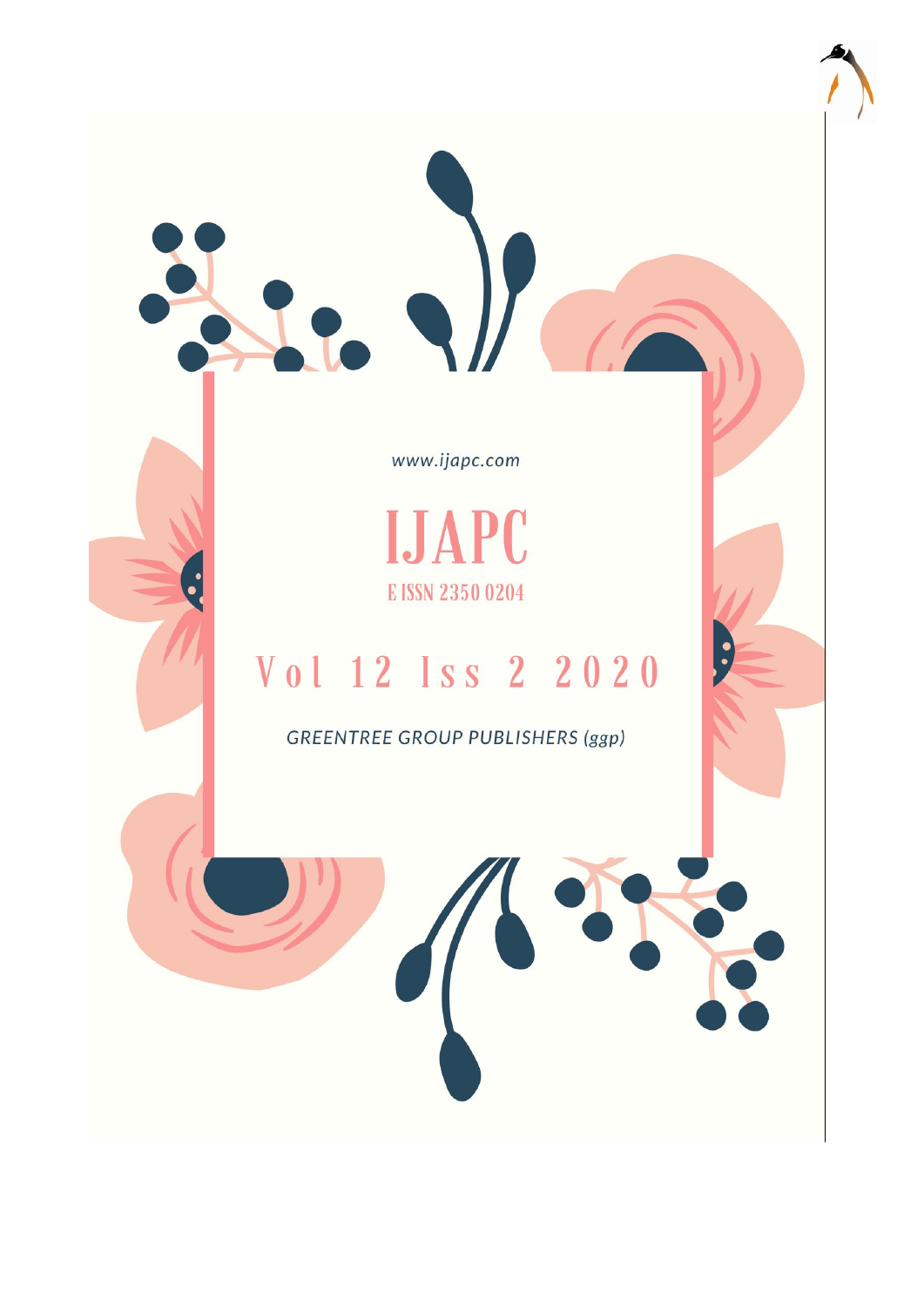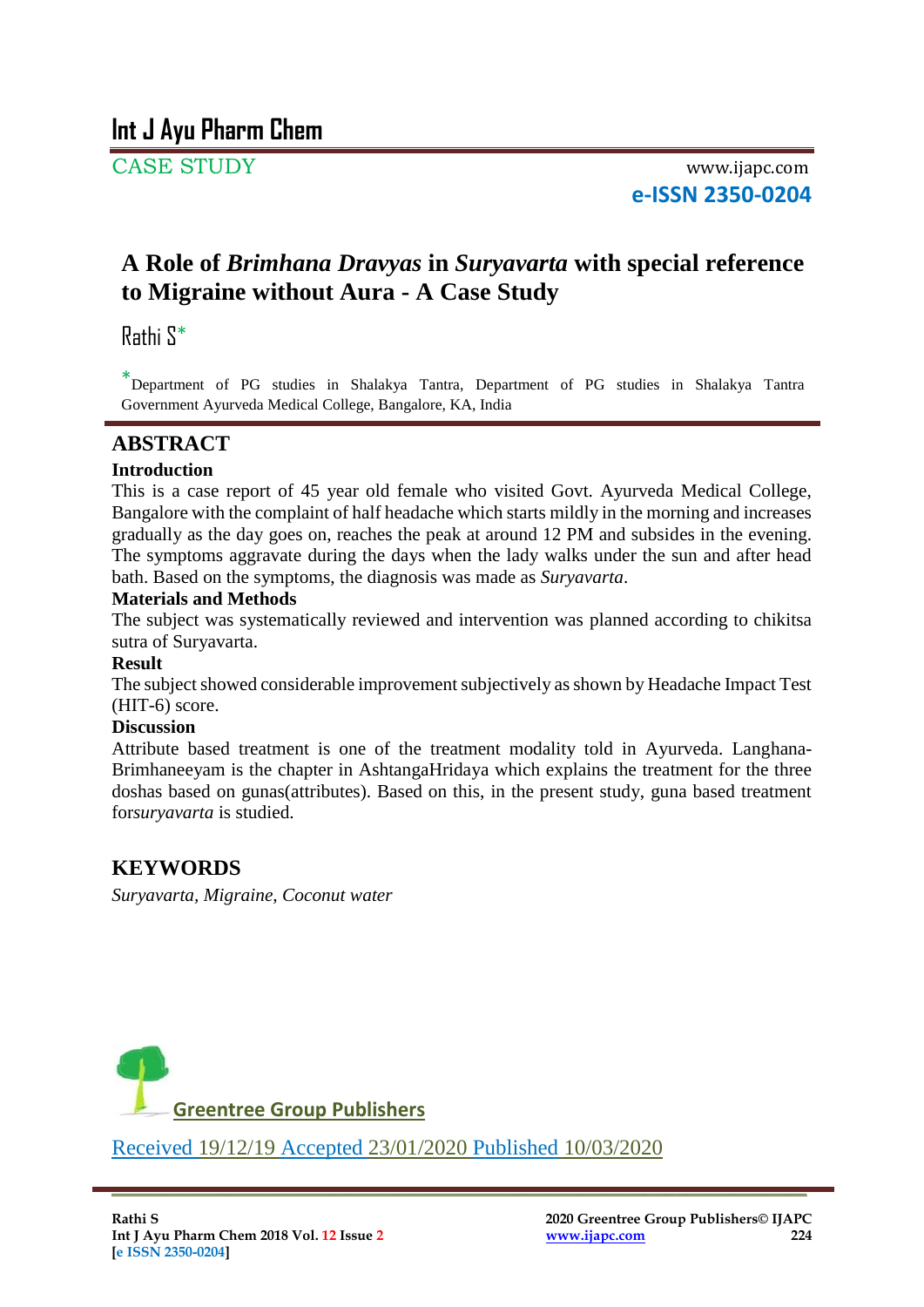CASE STUDY www.ijapc.com **e-ISSN 2350-0204**

# **A Role of** *Brimhana Dravyas* **in** *Suryavarta* **with special reference to Migraine without Aura - A Case Study**

Rathi S\*

\* Department of PG studies in Shalakya Tantra, Department of PG studies in Shalakya Tantra Government Ayurveda Medical College, Bangalore, KA, India

# $ABSTRACT$

## **Introduction**

This is a case report of 45 year old female who visited Govt. Ayurveda Medical College, Bangalore with the complaint of half headache which starts mildly in the morning and increases gradually as the day goes on, reaches the peak at around 12 PM and subsides in the evening. The symptoms aggravate during the days when the lady walks under the sun and after head bath. Based on the symptoms, the diagnosis was made as *Suryavarta*.

### **Materials and Methods**

The subject was systematically reviewed and intervention was planned according to chikitsa sutra of Suryavarta.

### **Result**

The subject showed considerable improvement subjectively as shown by Headache Impact Test (HIT-6) score.

### **Discussion**

Attribute based treatment is one of the treatment modality told in Ayurveda. Langhana-Brimhaneeyam is the chapter in AshtangaHridaya which explains the treatment for the three doshas based on gunas(attributes). Based on this, in the present study, guna based treatment for*suryavarta* is studied.

# **KEYWORDS**

*Suryavarta, Migraine, Coconut water*



Received 19/12/19 Accepted 23/01/2020 Published 10/03/2020

 $\overline{\phantom{a}}$  , and the contribution of the contribution of the contribution of the contribution of the contribution of the contribution of the contribution of the contribution of the contribution of the contribution of the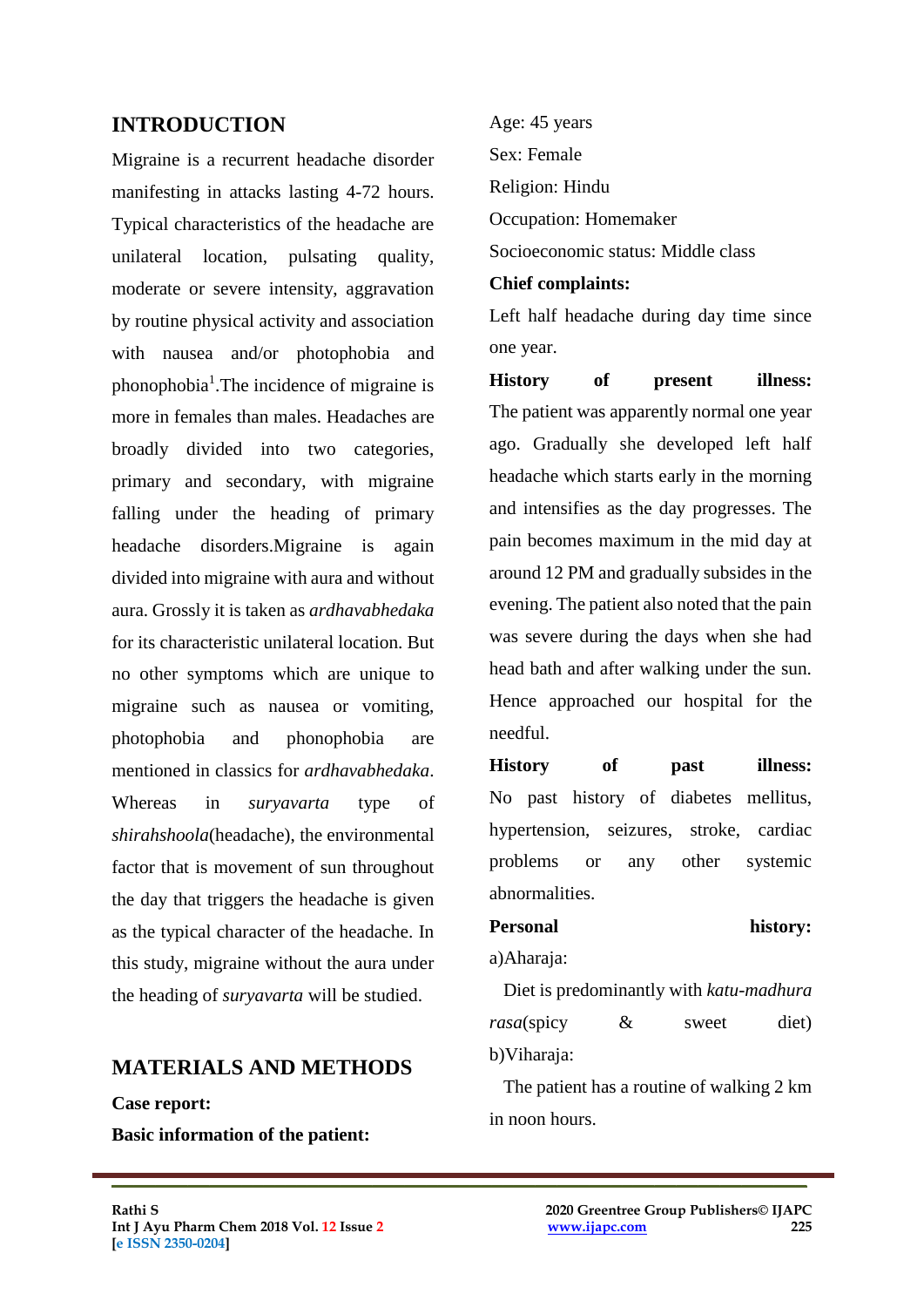# **INTRODUCTION**

Migraine is a recurrent headache disorder manifesting in attacks lasting 4-72 hours. Typical characteristics of the headache are unilateral location, pulsating quality, moderate or severe intensity, aggravation by routine physical activity and association with nausea and/or photophobia and phonophobia<sup>1</sup>. The incidence of migraine is more in females than males. Headaches are broadly divided into two categories, primary and secondary, with migraine falling under the heading of primary headache disorders.Migraine is again divided into migraine with aura and without aura. Grossly it is taken as *ardhavabhedaka* for its characteristic unilateral location. But no other symptoms which are unique to migraine such as nausea or vomiting, photophobia and phonophobia are mentioned in classics for *ardhavabhedaka*. Whereas in *suryavarta* type of *shirahshoola*(headache), the environmental factor that is movement of sun throughout the day that triggers the headache is given as the typical character of the headache. In this study, migraine without the aura under the heading of *suryavarta* will be studied.

# **MATERIALS AND METHODS**

**Case report:**

**Basic information of the patient:**

Age: 45 years Sex: Female Religion: Hindu Occupation: Homemaker Socioeconomic status: Middle class

#### **Chief complaints:**

Left half headache during day time since one year.

**History of present illness:** The patient was apparently normal one year ago. Gradually she developed left half headache which starts early in the morning and intensifies as the day progresses. The pain becomes maximum in the mid day at around 12 PM and gradually subsides in the evening. The patient also noted that the pain was severe during the days when she had head bath and after walking under the sun. Hence approached our hospital for the needful.

**History of past illness:** No past history of diabetes mellitus, hypertension, seizures, stroke, cardiac problems or any other systemic abnormalities.

Personal history: a)Aharaja:

 Diet is predominantly with *katu-madhura rasa*(spicy & sweet diet) b) Viharaja:

 The patient has a routine of walking 2 km in noon hours.

 $\mathcal{L}_\mathcal{L}$  , and the contribution of the contribution of the contribution of the contribution of the contribution of the contribution of the contribution of the contribution of the contribution of the contribution of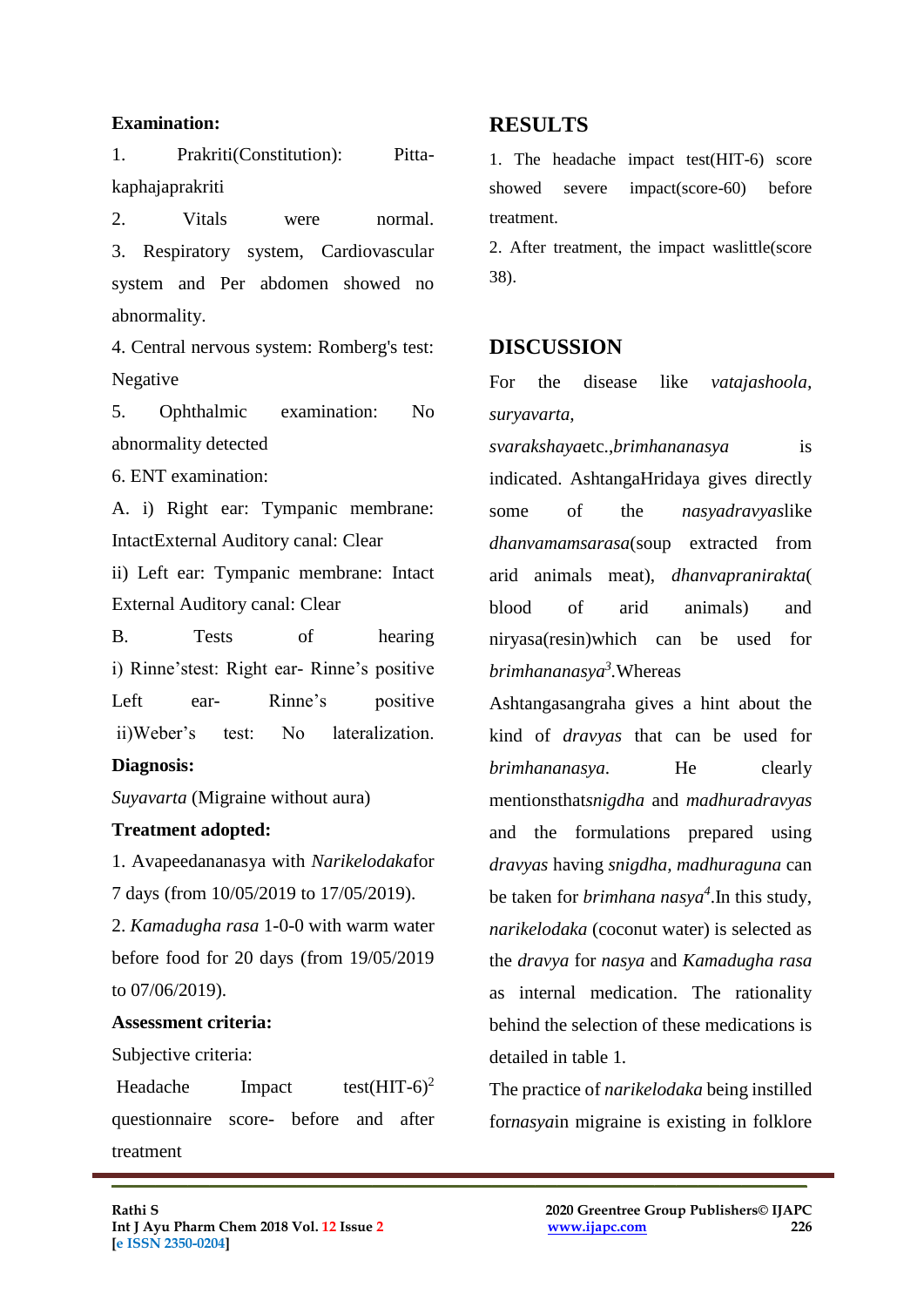#### **Examination:**

1. Prakriti(Constitution): Pittakaphajaprakriti

2. Vitals were normal. 3. Respiratory system, Cardiovascular system and Per abdomen showed no abnormality.

4. Central nervous system: Romberg's test: Negative

5. Ophthalmic examination: No abnormality detected

6. ENT examination:

A. i) Right ear: Tympanic membrane: IntactExternal Auditory canal: Clear ii) Left ear: Tympanic membrane: Intact External Auditory canal: Clear

B. Tests of hearing i) Rinne'stest: Right ear- Rinne's positive Left ear- Rinne's positive ii)Weber's test: No lateralization.

### **Diagnosis:**

*Suyavarta* (Migraine without aura)

#### **Treatment adopted:**

1. Avapeedananasya with *Narikelodaka*for 7 days (from 10/05/2019 to 17/05/2019).

2. *Kamadugha rasa* 1-0-0 with warm water before food for 20 days (from 19/05/2019 to 07/06/2019).

#### **Assessment criteria:**

Subjective criteria:

Headache Impact test(HIT- $6)^2$ questionnaire score- before and after treatment

 $\mathcal{L}_\mathcal{L}$  , and the contribution of the contribution of the contribution of the contribution of the contribution of the contribution of the contribution of the contribution of the contribution of the contribution of

### **RESULTS**

1. The headache impact test(HIT-6) score showed severe impact(score-60) before treatment.

2. After treatment, the impact waslittle(score 38).

### **DISCUSSION**

For the disease like *vatajashoola, suryavarta,* 

*svarakshaya*etc.,*brimhananasya* is indicated. AshtangaHridaya gives directly some of the *nasyadravyas*like *dhanvamamsarasa*(soup extracted from arid animals meat), *dhanvapranirakta*( blood of arid animals) and niryasa(resin)which can be used for *brimhananasya<sup>3</sup> .*Whereas

Ashtangasangraha gives a hint about the kind of *dravyas* that can be used for *brimhananasya*. He clearly mentionsthat*snigdha* and *madhuradravyas* and the formulations prepared using *dravyas* having *snigdha, madhuraguna* can be taken for *brimhana nasya<sup>4</sup>* .In this study, *narikelodaka* (coconut water) is selected as the *dravya* for *nasya* and *Kamadugha rasa* as internal medication. The rationality behind the selection of these medications is detailed in table 1*.* 

The practice of *narikelodaka* being instilled for*nasya*in migraine is existing in folklore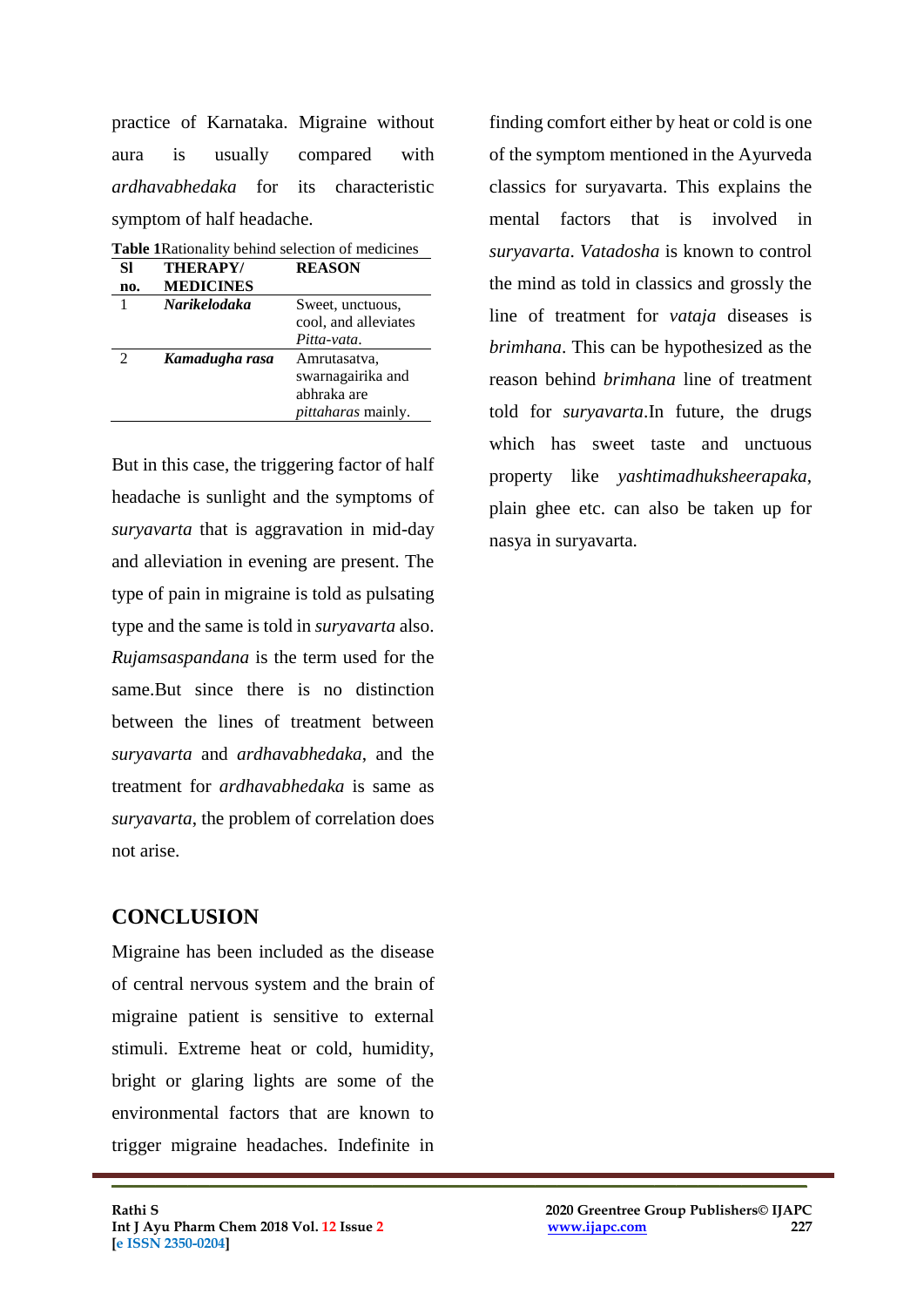practice of Karnataka. Migraine without aura is usually compared with *ardhavabhedaka* for its characteristic symptom of half headache.

| <b>Table 1 Rationality behind selection of medicines</b> |                           |
|----------------------------------------------------------|---------------------------|
| <b>THERAPY/</b>                                          | <b>REASON</b>             |
| <b>MEDICINES</b>                                         |                           |
| <b>Narikelodaka</b>                                      | Sweet, unctuous,          |
|                                                          | cool, and alleviates      |
|                                                          | Pitta-vata.               |
| Kamadugha rasa                                           | Amrutasatva,              |
|                                                          | swarnagairika and         |
|                                                          | abhraka are               |
|                                                          | <i>pittaharas</i> mainly. |
|                                                          |                           |

**Table 1**Rationality behind selection of medicines

But in this case, the triggering factor of half headache is sunlight and the symptoms of *suryavarta* that is aggravation in mid-day and alleviation in evening are present. The type of pain in migraine is told as pulsating type and the same is told in *suryavarta* also. *Rujamsaspandana* is the term used for the same.But since there is no distinction between the lines of treatment between *suryavarta* and *ardhavabhedaka*, and the treatment for *ardhavabhedaka* is same as *suryavarta*, the problem of correlation does not arise.

# **CONCLUSION**

Migraine has been included as the disease of central nervous system and the brain of migraine patient is sensitive to external stimuli. Extreme heat or cold, humidity, bright or glaring lights are some of the environmental factors that are known to trigger migraine headaches. Indefinite in

 $\mathcal{L}_\mathcal{L}$  , and the contribution of the contribution of the contribution of the contribution of the contribution of the contribution of the contribution of the contribution of the contribution of the contribution of

finding comfort either by heat or cold is one of the symptom mentioned in the Ayurveda classics for suryavarta. This explains the mental factors that is involved in *suryavarta*. *Vatadosha* is known to control the mind as told in classics and grossly the line of treatment for *vataja* diseases is *brimhana*. This can be hypothesized as the reason behind *brimhana* line of treatment told for *suryavarta*.In future, the drugs which has sweet taste and unctuous property like *yashtimadhuksheerapaka*, plain ghee etc. can also be taken up for nasya in suryavarta.